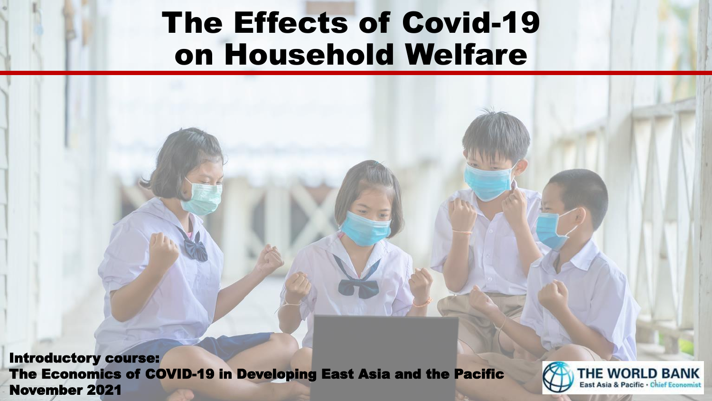# The Effects of Covid-19 on Household Welfare

Introductory course: The Economics of COVID-19 in Developing East Asia and the Pacific The Economics of COVID-19 in Developing East Asia and the Pacific **Capacific Conducts Contain a Pacific Conomist**<br>November 2021

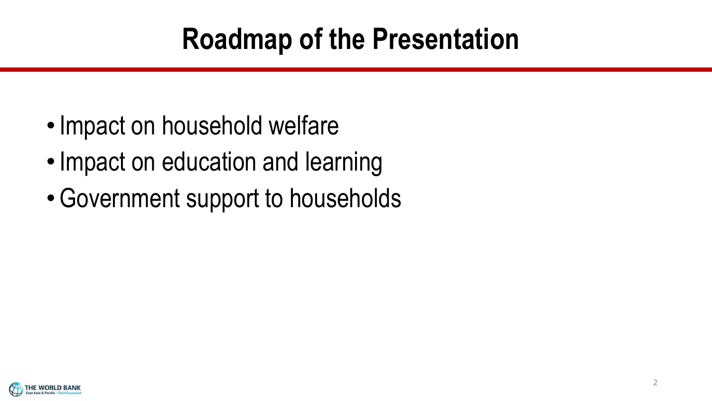# **Roadmap of the Presentation**

- Impact on household welfare
- •Impact on education and learning
- •Government support to households

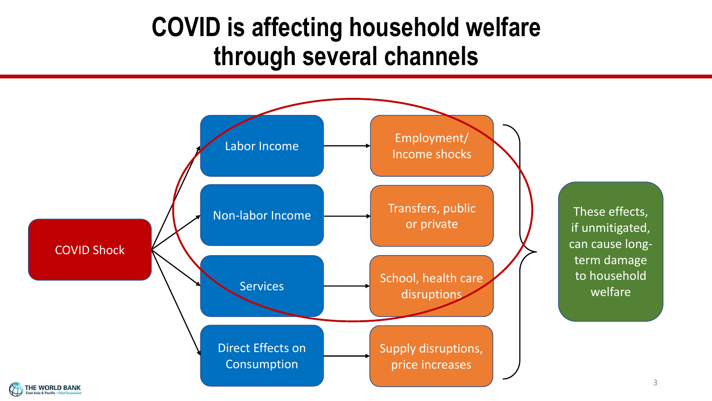### **COVID is affecting household welfare through several channels**



3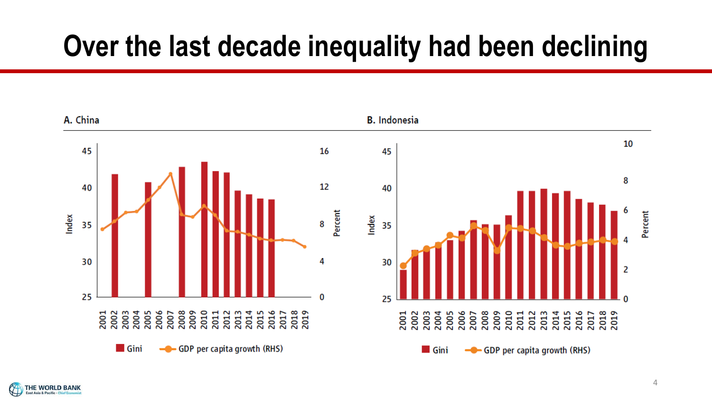# **Over the last decade inequality had been declining**



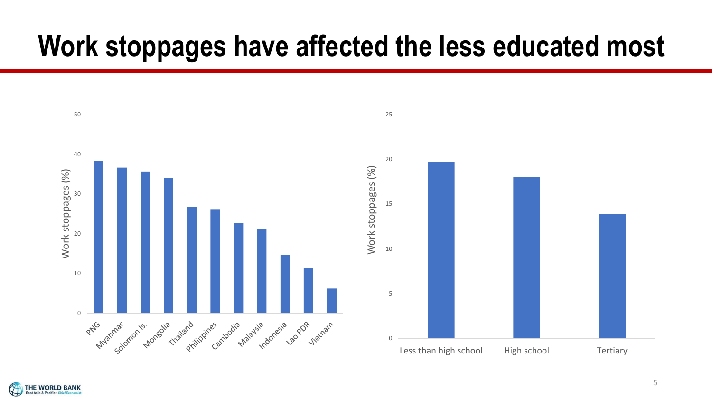# **Work stoppages have affected the less educated most**



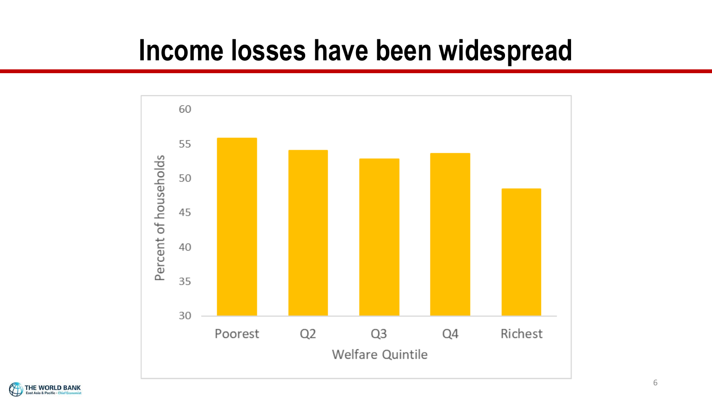## **Income losses have been widespread**



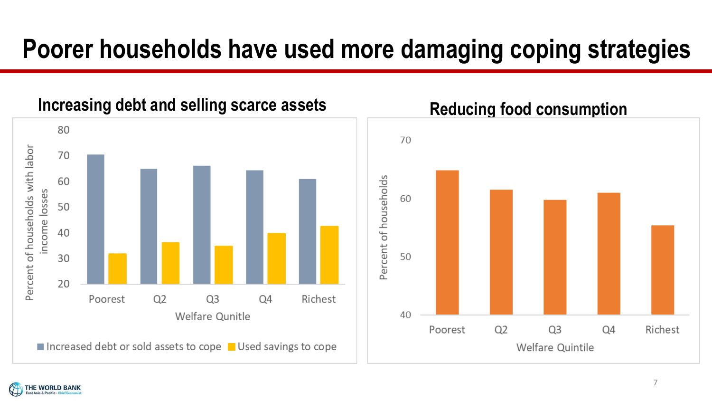## **Poorer households have used more damaging coping strategies**

### Increasing debt and selling scarce assets **Reducing food consumption**





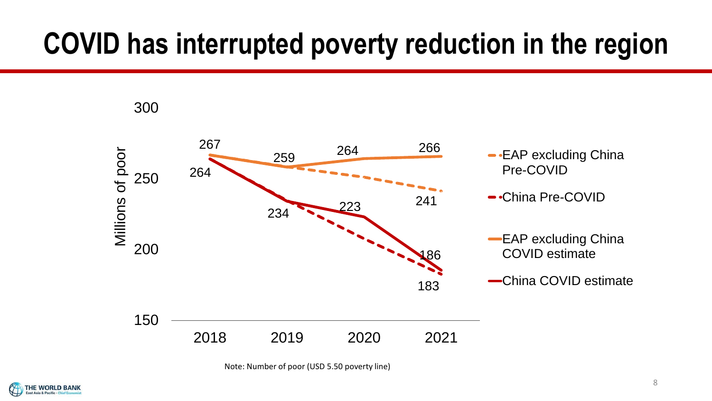# **COVID has interrupted poverty reduction in the region**



Note: Number of poor (USD 5.50 poverty line)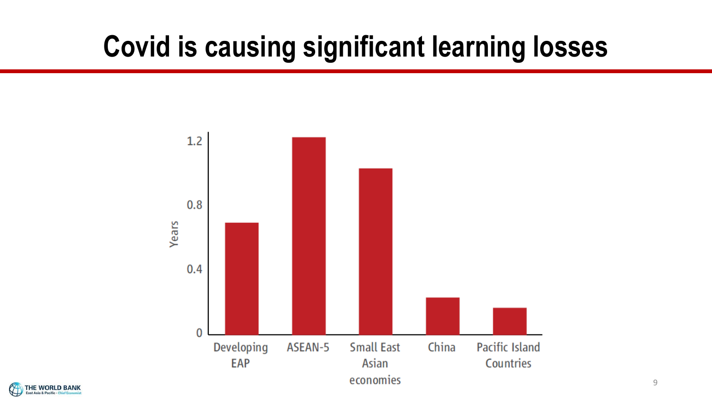# **Covid is causing significant learning losses**



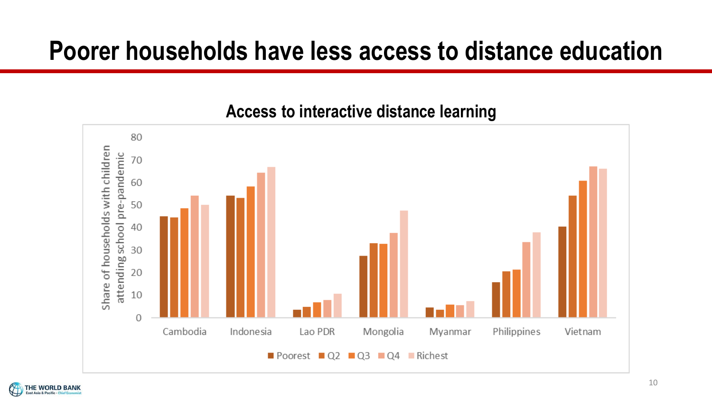### **Poorer households have less access to distance education**

#### 80 Share of households with children attending school pre-pandemic 70 60 50 40 30 20 10  $\Omega$ Cambodia Indonesia Lao PDR Mongolia Myanmar Philippines Vietnam Poorest  $\Box$  Q2  $\Box$  Q3  $\Box$  Q4  $\Box$  Richest

#### **Access to interactive distance learning**

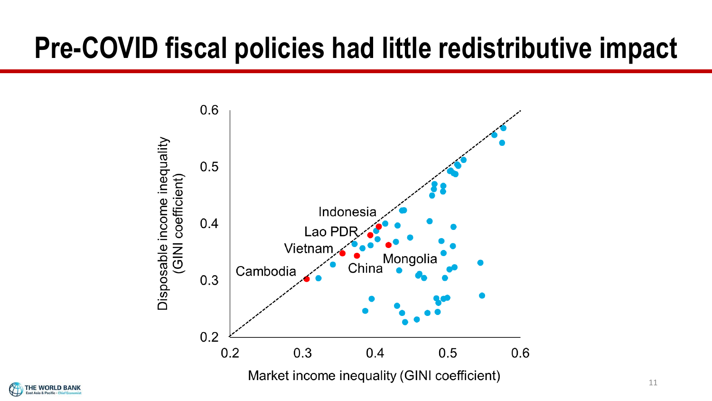# **Pre-COVID fiscal policies had little redistributive impact**



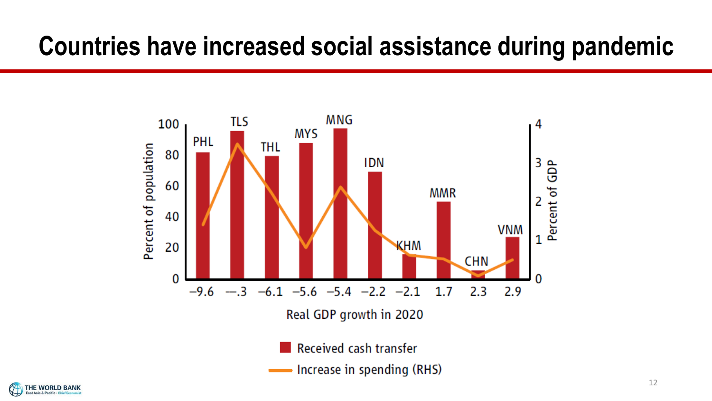### **Countries have increased social assistance during pandemic**



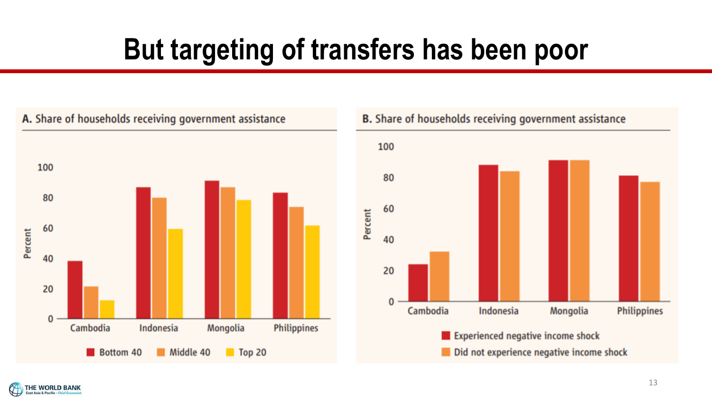# **But targeting of transfers has been poor**



THE WORLD BANK ast Asia & Pacific . Chief Ecor



#### 13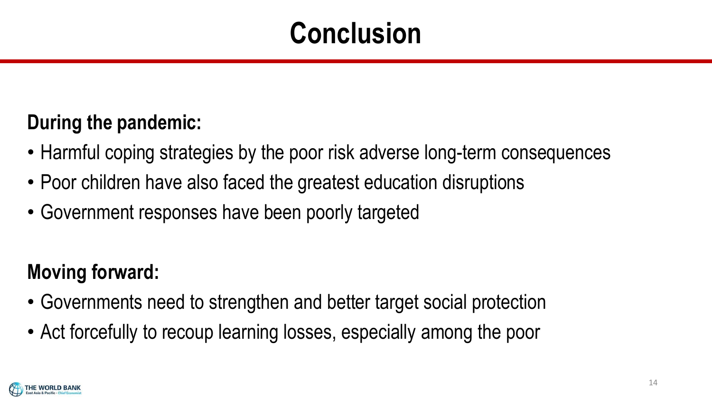# **Conclusion**

### **During the pandemic:**

- Harmful coping strategies by the poor risk adverse long-term consequences
- Poor children have also faced the greatest education disruptions
- Government responses have been poorly targeted

### **Moving forward:**

- Governments need to strengthen and better target social protection
- Act forcefully to recoup learning losses, especially among the poor